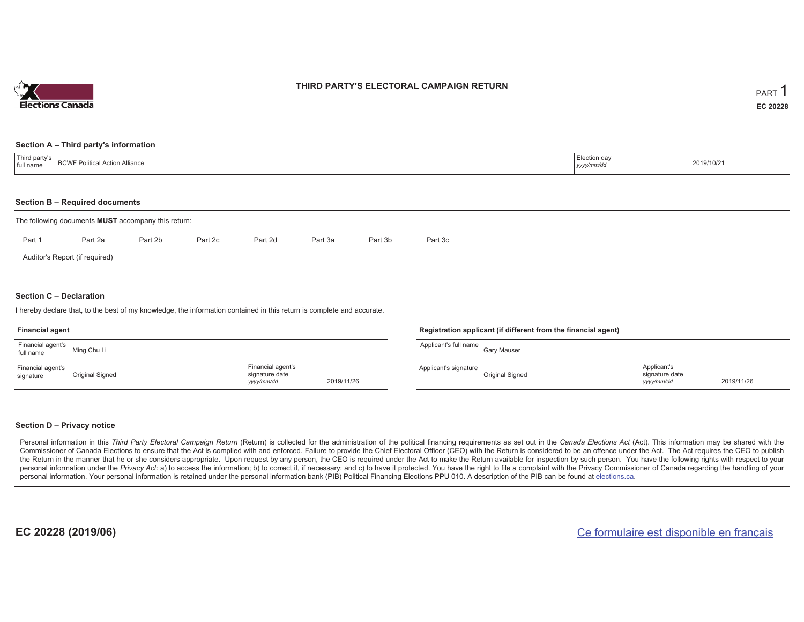

### **THIRD PARTY'S ELECTORAL CAMPAIGN RETURN**

#### **Section A – Third party's information**

| Third party's<br>I Action Alliance<br><b>BCWF Political</b><br>full name | Election day<br>yyyy/mm/dc | 2019/10/21 |
|--------------------------------------------------------------------------|----------------------------|------------|
|--------------------------------------------------------------------------|----------------------------|------------|

#### **Section B – Required documents**

| The following documents <b>MUST</b> accompany this return: |         |         |         |         |         |         |         |  |  |  |
|------------------------------------------------------------|---------|---------|---------|---------|---------|---------|---------|--|--|--|
| Part 1                                                     | Part 2a | Part 2b | Part 2c | Part 2d | Part 3a | Part 3b | Part 3c |  |  |  |
| Auditor's Report (if required)                             |         |         |         |         |         |         |         |  |  |  |

#### **Section C – Declaration**

I hereby declare that, to the best of my knowledge, the information contained in this return is complete and accurate.

#### **Financial agent**

| Financial agent's<br>full name | Ming Chu Li     |                                                   |            |
|--------------------------------|-----------------|---------------------------------------------------|------------|
| Financial agent's<br>signature | Original Signed | Financial agent's<br>signature date<br>yyyy/mm/dd | 2019/11/26 |

#### **Registration applicant (if different from the financial agent)**

| Applicant's full name | Gary Mauser     |                                             |            |
|-----------------------|-----------------|---------------------------------------------|------------|
| Applicant's signature | Original Signed | Applicant's<br>signature date<br>yyyy/mm/dd | 2019/11/26 |

#### **Section D – Privacy notice**

Personal information in this Third Party Electoral Campaign Return (Return) is collected for the administration of the political financing requirements as set out in the Canada Elections Act (Act). This information may be Commissioner of Canada Elections to ensure that the Act is complied with and enforced. Failure to provide the Chief Electoral Officer (CEO) with the Return is considered to be an offence under the Act. The Act requires the the Return in the manner that he or she considers appropriate. Upon request by any person, the CEO is required under the Act to make the Return available for inspection by such person. You have the following rights with re personal information under the Privacy Act: a) to access the information; b) to correct it, if necessary; and c) to have it protected. You have the right to file a complaint with the Privacy Commissioner of Canada regardin personal information. Your personal information is retained under the personal information bank (PIB) Political Financing Elections PPU 010. A description of the PIB can be found at elections.ca.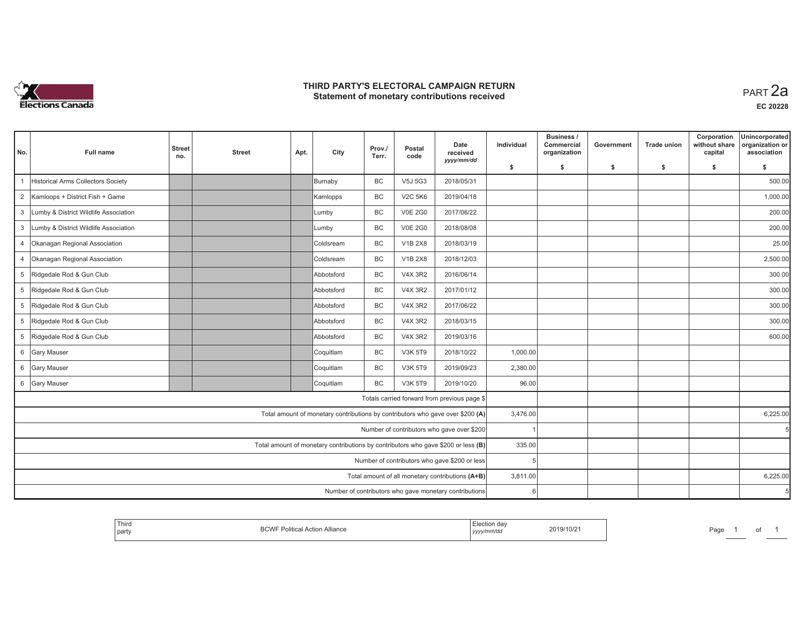

### **THIRD PARTY'S ELECTORAL CAMPAIGN RETURN HIRD PARTY'S ELECTORAL CAMPAIGN RETURN<br>Statement of monetary contributions received PART 2a**

| No.            | <b>Full name</b>                      | <b>Street</b> | <b>Street</b> | Apt. | City                                                                              | Prov./<br>Terr. | Postal<br>code | Date<br>received                                       | Individual | Business /<br>Commercial<br>organization | Government | <b>Trade union</b> | Corporation<br>without share<br>capital | Unincorporated<br>organization or<br>association |
|----------------|---------------------------------------|---------------|---------------|------|-----------------------------------------------------------------------------------|-----------------|----------------|--------------------------------------------------------|------------|------------------------------------------|------------|--------------------|-----------------------------------------|--------------------------------------------------|
|                |                                       | no.           |               |      |                                                                                   |                 |                | yyyy/mm/dd                                             | \$         | s.                                       | \$         | S.                 | \$                                      | \$                                               |
|                | Historical Arms Collectors Society    |               |               |      | Burnaby                                                                           | <b>BC</b>       | V5J 5G3        | 2018/05/31                                             |            |                                          |            |                    |                                         | 500.00                                           |
|                | 2 Kamloops + District Fish + Game     |               |               |      | Kamlopps                                                                          | BC              | <b>V2C 5K6</b> | 2019/04/18                                             |            |                                          |            |                    |                                         | 1,000.00                                         |
| $\mathbf{3}$   | Lumby & District Wildlife Association |               |               |      | Lumby                                                                             | BC              | <b>V0E 2G0</b> | 2017/06/22                                             |            |                                          |            |                    |                                         | 200.00                                           |
| 3              | Lumby & District Wildlife Association |               |               |      | Lumby                                                                             | BC              | <b>V0E 2G0</b> | 2018/08/08                                             |            |                                          |            |                    |                                         | 200.00                                           |
| $\overline{4}$ | Okanagan Regional Association         |               |               |      | Coldsream                                                                         | <b>BC</b>       | <b>V1B 2X8</b> | 2018/03/19                                             |            |                                          |            |                    |                                         | 25.00                                            |
| $\overline{4}$ | Okanagan Regional Association         |               |               |      | <b>Coldsream</b>                                                                  | BC              | <b>V1B 2X8</b> | 2018/12/03                                             |            |                                          |            |                    |                                         | 2,500.00                                         |
|                | 5 Ridgedale Rod & Gun Club            |               |               |      | Abbotsford                                                                        | <b>BC</b>       | <b>V4X 3R2</b> | 2016/06/14                                             |            |                                          |            |                    |                                         | 300.00                                           |
|                | 5 Ridgedale Rod & Gun Club            |               |               |      | Abbotsford                                                                        | <b>BC</b>       | <b>V4X 3R2</b> | 2017/01/12                                             |            |                                          |            |                    |                                         | 300.00                                           |
| 5 <sup>5</sup> | Ridgedale Rod & Gun Club              |               |               |      | Abbotsford                                                                        | <b>BC</b>       | <b>V4X 3R2</b> | 2017/06/22                                             |            |                                          |            |                    |                                         | 300.00                                           |
| 5 <sup>5</sup> | Ridgedale Rod & Gun Club              |               |               |      | Abbotsford                                                                        | BC              | <b>V4X 3R2</b> | 2018/03/15                                             |            |                                          |            |                    |                                         | 300.00                                           |
|                | 5 Ridgedale Rod & Gun Club            |               |               |      | Abbotsford                                                                        | BC              | <b>V4X 3R2</b> | 2019/03/16                                             |            |                                          |            |                    |                                         | 600.00                                           |
|                | 6 Gary Mauser                         |               |               |      | Coquitlam                                                                         | BC              | V3K 5T9        | 2018/10/22                                             | 1,000.00   |                                          |            |                    |                                         |                                                  |
|                | 6 Gary Mauser                         |               |               |      | Coquitlam                                                                         | <b>BC</b>       | V3K 5T9        | 2019/09/23                                             | 2,380.00   |                                          |            |                    |                                         |                                                  |
|                | 6 Gary Mauser                         |               |               |      | Coquitlam                                                                         | BC              | <b>V3K 5T9</b> | 2019/10/20                                             | 96.00      |                                          |            |                    |                                         |                                                  |
|                |                                       |               |               |      |                                                                                   |                 |                | Totals carried forward from previous page \$           |            |                                          |            |                    |                                         |                                                  |
|                |                                       |               |               |      | Total amount of monetary contributions by contributors who gave over \$200 (A)    |                 |                |                                                        | 3,476.00   |                                          |            |                    |                                         | 6,225.00                                         |
|                |                                       |               |               |      |                                                                                   |                 |                | Number of contributors who gave over \$200             |            |                                          |            |                    |                                         |                                                  |
|                |                                       |               |               |      | Total amount of monetary contributions by contributors who gave \$200 or less (B) |                 |                |                                                        | 335.00     |                                          |            |                    |                                         |                                                  |
|                |                                       |               |               |      |                                                                                   |                 |                | Number of contributors who gave \$200 or less          | 5          |                                          |            |                    |                                         |                                                  |
|                |                                       |               |               |      |                                                                                   |                 |                | Total amount of all monetary contributions (A+B)       | 3,811.00   |                                          |            |                    |                                         | 6,225.00                                         |
|                |                                       |               |               |      |                                                                                   |                 |                | Number of contributors who gave monetary contributions | 6          |                                          |            |                    |                                         |                                                  |

| ' Thirc<br>party | nn.<br>Allianc<br>Action<br><b>LILIV</b> | aa'<br>2019/10/2<br>.<br>71/U<br>,,,,, | $P$ aqe |
|------------------|------------------------------------------|----------------------------------------|---------|
|------------------|------------------------------------------|----------------------------------------|---------|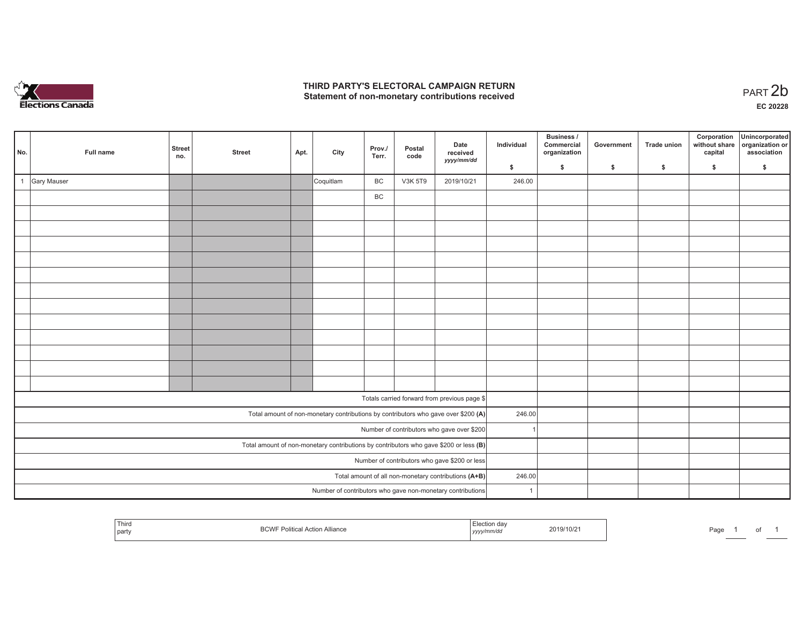

## **THIRD PARTY'S ELECTORAL CAMPAIGN RETURN**  THIRD PARTY'S ELECTORAL CAMPAIGN RETURN<br>Statement of non-monetary contributions received<br> **PART 2b**

| No. | Full name          | Street<br>no. | <b>Street</b> | Apt. | City      | Prov./<br>Terr. | Postal<br>code | Date<br>received                                                                      | Individual     | <b>Business /</b><br>Commercial<br>organization | Government | Trade union | Corporation<br>without share<br>capital | Unincorporated<br>organization or<br>association |
|-----|--------------------|---------------|---------------|------|-----------|-----------------|----------------|---------------------------------------------------------------------------------------|----------------|-------------------------------------------------|------------|-------------|-----------------------------------------|--------------------------------------------------|
|     |                    |               |               |      |           |                 |                | yyyy/mm/dd                                                                            | \$             | \$                                              | \$         | \$          | \$                                      | \$                                               |
|     | <b>Gary Mauser</b> |               |               |      | Coquitlam | BC              | <b>V3K 5T9</b> | 2019/10/21                                                                            | 246.00         |                                                 |            |             |                                         |                                                  |
|     |                    |               |               |      |           | BC              |                |                                                                                       |                |                                                 |            |             |                                         |                                                  |
|     |                    |               |               |      |           |                 |                |                                                                                       |                |                                                 |            |             |                                         |                                                  |
|     |                    |               |               |      |           |                 |                |                                                                                       |                |                                                 |            |             |                                         |                                                  |
|     |                    |               |               |      |           |                 |                |                                                                                       |                |                                                 |            |             |                                         |                                                  |
|     |                    |               |               |      |           |                 |                |                                                                                       |                |                                                 |            |             |                                         |                                                  |
|     |                    |               |               |      |           |                 |                |                                                                                       |                |                                                 |            |             |                                         |                                                  |
|     |                    |               |               |      |           |                 |                |                                                                                       |                |                                                 |            |             |                                         |                                                  |
|     |                    |               |               |      |           |                 |                |                                                                                       |                |                                                 |            |             |                                         |                                                  |
|     |                    |               |               |      |           |                 |                |                                                                                       |                |                                                 |            |             |                                         |                                                  |
|     |                    |               |               |      |           |                 |                |                                                                                       |                |                                                 |            |             |                                         |                                                  |
|     |                    |               |               |      |           |                 |                |                                                                                       |                |                                                 |            |             |                                         |                                                  |
|     |                    |               |               |      |           |                 |                |                                                                                       |                |                                                 |            |             |                                         |                                                  |
|     |                    |               |               |      |           |                 |                |                                                                                       |                |                                                 |            |             |                                         |                                                  |
|     |                    |               |               |      |           |                 |                | Totals carried forward from previous page \$                                          |                |                                                 |            |             |                                         |                                                  |
|     |                    |               |               |      |           |                 |                | Total amount of non-monetary contributions by contributors who gave over \$200 (A)    | 246.00         |                                                 |            |             |                                         |                                                  |
|     |                    |               |               |      |           |                 |                | Number of contributors who gave over \$200                                            |                |                                                 |            |             |                                         |                                                  |
|     |                    |               |               |      |           |                 |                | Total amount of non-monetary contributions by contributors who gave \$200 or less (B) |                |                                                 |            |             |                                         |                                                  |
|     |                    |               |               |      |           |                 |                | Number of contributors who gave \$200 or less                                         |                |                                                 |            |             |                                         |                                                  |
|     |                    |               |               |      |           |                 |                | Total amount of all non-monetary contributions (A+B)                                  | 246.00         |                                                 |            |             |                                         |                                                  |
|     |                    |               |               |      |           |                 |                | Number of contributors who gave non-monetary contributions                            | $\overline{1}$ |                                                 |            |             |                                         |                                                  |

| Third<br>  party | $\sim$ $\sim$<br>Alliance | wich day.<br>, yyyymmvar | 2019/10/2 | Page |  |  |  |
|------------------|---------------------------|--------------------------|-----------|------|--|--|--|
|------------------|---------------------------|--------------------------|-----------|------|--|--|--|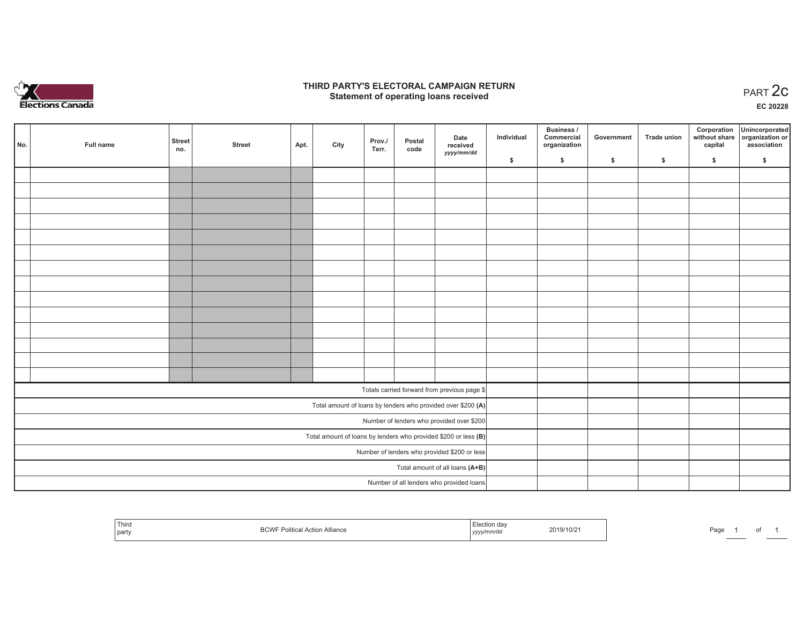

### **THIRD PARTY'S ELECTORAL CAMPAIGN RETURN STATE:** PARTY'S ELECTORAL CAMPAIGN RETURN<br>
Statement of operating loans received

**EC 20228**

|     |           |               |               |      |      |                 |                |                                                                   |            | Business /                 |            |                    | Corporation | Unincorporated                               |
|-----|-----------|---------------|---------------|------|------|-----------------|----------------|-------------------------------------------------------------------|------------|----------------------------|------------|--------------------|-------------|----------------------------------------------|
| No. | Full name | Street<br>no. | <b>Street</b> | Apt. | City | Prov./<br>Terr. | Postal<br>code | Date<br>received                                                  | Individual | Commercial<br>organization | Government | <b>Trade union</b> | capital     | without share organization or<br>association |
|     |           |               |               |      |      |                 |                | yyyy/mm/dd                                                        | \$         | \$                         | \$         | $\sqrt{2}$         | \$          | \$                                           |
|     |           |               |               |      |      |                 |                |                                                                   |            |                            |            |                    |             |                                              |
|     |           |               |               |      |      |                 |                |                                                                   |            |                            |            |                    |             |                                              |
|     |           |               |               |      |      |                 |                |                                                                   |            |                            |            |                    |             |                                              |
|     |           |               |               |      |      |                 |                |                                                                   |            |                            |            |                    |             |                                              |
|     |           |               |               |      |      |                 |                |                                                                   |            |                            |            |                    |             |                                              |
|     |           |               |               |      |      |                 |                |                                                                   |            |                            |            |                    |             |                                              |
|     |           |               |               |      |      |                 |                |                                                                   |            |                            |            |                    |             |                                              |
|     |           |               |               |      |      |                 |                |                                                                   |            |                            |            |                    |             |                                              |
|     |           |               |               |      |      |                 |                |                                                                   |            |                            |            |                    |             |                                              |
|     |           |               |               |      |      |                 |                |                                                                   |            |                            |            |                    |             |                                              |
|     |           |               |               |      |      |                 |                |                                                                   |            |                            |            |                    |             |                                              |
|     |           |               |               |      |      |                 |                |                                                                   |            |                            |            |                    |             |                                              |
|     |           |               |               |      |      |                 |                |                                                                   |            |                            |            |                    |             |                                              |
|     |           |               |               |      |      |                 |                |                                                                   |            |                            |            |                    |             |                                              |
|     |           |               |               |      |      |                 |                | Totals carried forward from previous page \$                      |            |                            |            |                    |             |                                              |
|     |           |               |               |      |      |                 |                | Total amount of loans by lenders who provided over \$200 (A)      |            |                            |            |                    |             |                                              |
|     |           |               |               |      |      |                 |                | Number of lenders who provided over \$200                         |            |                            |            |                    |             |                                              |
|     |           |               |               |      |      |                 |                | Total amount of loans by lenders who provided \$200 or less $(B)$ |            |                            |            |                    |             |                                              |
|     |           |               |               |      |      |                 |                | Number of lenders who provided \$200 or less                      |            |                            |            |                    |             |                                              |
|     |           |               |               |      |      |                 |                | Total amount of all loans (A+B)                                   |            |                            |            |                    |             |                                              |
|     |           |               |               |      |      |                 |                | Number of all lenders who provided loans                          |            |                            |            |                    |             |                                              |

| Third<br>$D$ $N$<br>Action<br><b>Alliance</b><br>BUVVI<br>l party | 019/10/2<br>, <i>yyyy</i><br>the contract of the contract of the contract of the contract of the contract of | Page |
|-------------------------------------------------------------------|--------------------------------------------------------------------------------------------------------------|------|
|-------------------------------------------------------------------|--------------------------------------------------------------------------------------------------------------|------|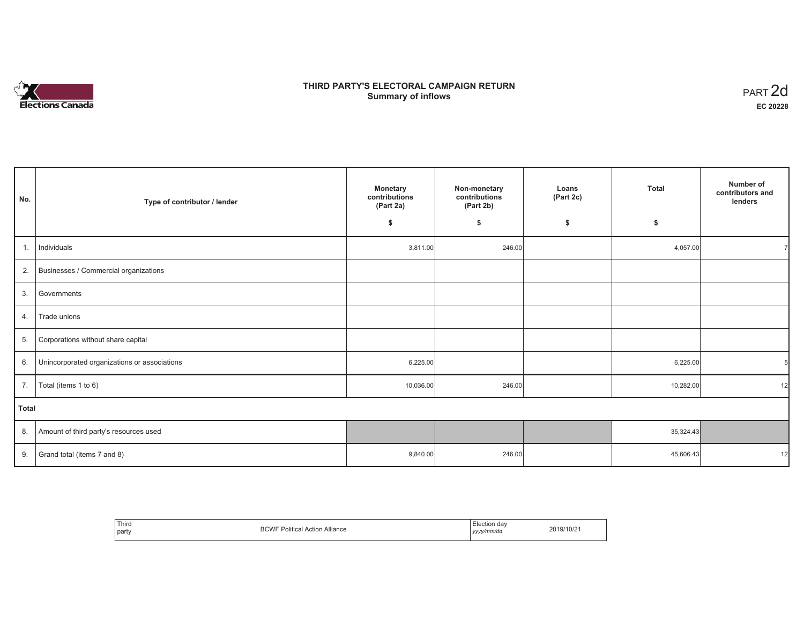# **Elections Canada**

## **THIRD PARTY'S ELECTORAL CAMPAIGN RETURN Summary of inflows**

| PART <sub>2d</sub> |
|--------------------|
| EC 20228           |

٦

| No.          | Type of contributor / lender                 | Non-monetary<br><b>Monetary</b><br>contributions<br>contributions<br>(Part 2b)<br>(Part 2a) |        | Loans<br>(Part 2c) | <b>Total</b> | Number of<br>contributors and<br>lenders |
|--------------|----------------------------------------------|---------------------------------------------------------------------------------------------|--------|--------------------|--------------|------------------------------------------|
|              |                                              | \$                                                                                          | \$     | \$                 | \$           |                                          |
| 1.           | Individuals                                  | 3,811.00                                                                                    | 246.00 |                    | 4,057.00     |                                          |
| 2.           | Businesses / Commercial organizations        |                                                                                             |        |                    |              |                                          |
| 3.           | Governments                                  |                                                                                             |        |                    |              |                                          |
| 4.           | Trade unions                                 |                                                                                             |        |                    |              |                                          |
| 5.           | Corporations without share capital           |                                                                                             |        |                    |              |                                          |
| 6.           | Unincorporated organizations or associations | 6,225.00                                                                                    |        |                    | 6,225.00     |                                          |
| 7.           | Total (items 1 to 6)                         | 10,036.00                                                                                   | 246.00 |                    | 10,282.00    | 12                                       |
| <b>Total</b> |                                              |                                                                                             |        |                    |              |                                          |
| 8.           | Amount of third party's resources used       |                                                                                             |        |                    | 35,324.43    |                                          |
| 9.           | Grand total (items 7 and 8)                  | 9,840.00                                                                                    | 246.00 |                    | 45,606.43    | 12                                       |

| ' Third<br>party | っへいに<br>Alliance<br>Action<br>. Politica' | dai.<br>:lection<br>.<br>.<br>vv/mm/dd<br>1/1/1<br>,,,, | 3/10/2 |
|------------------|-------------------------------------------|---------------------------------------------------------|--------|
|------------------|-------------------------------------------|---------------------------------------------------------|--------|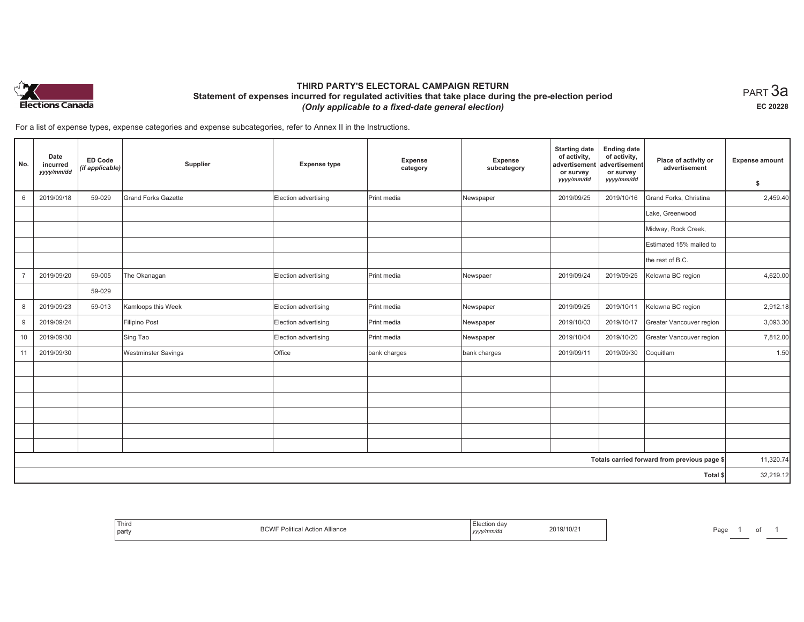

## **THIRD PARTY'S ELECTORAL CAMPAIGN RETURN Statement of expenses incurred for regulated activities that take place during the pre-election period**  *(Only applicable to a fixed-date general election)*

 $_{\sf PART}$ 3a **EC 20228**

For a list of expense types, expense categories and expense subcategories, refer to Annex II in the Instructions.

| No.            | Date<br>incurred<br>yyyy/mm/dd | <b>ED Code</b><br>(if applicable) | Supplier                   | <b>Expense type</b>  | Expense<br>category | Expense<br>subcategory | <b>Starting date</b><br>of activity,<br>advertisement<br>or survey<br>yyyy/mm/dd | <b>Ending date</b><br>of activity,<br>advertisement<br>or survey<br>yyyy/mm/dd | Place of activity or<br>advertisement        | <b>Expense amount</b><br>\$ |
|----------------|--------------------------------|-----------------------------------|----------------------------|----------------------|---------------------|------------------------|----------------------------------------------------------------------------------|--------------------------------------------------------------------------------|----------------------------------------------|-----------------------------|
| 6              | 2019/09/18                     | 59-029                            | <b>Grand Forks Gazette</b> | Election advertising | Print media         | Newspaper              | 2019/09/25                                                                       | 2019/10/16                                                                     | Grand Forks, Christina                       | 2,459.40                    |
|                |                                |                                   |                            |                      |                     |                        |                                                                                  |                                                                                | Lake, Greenwood                              |                             |
|                |                                |                                   |                            |                      |                     |                        |                                                                                  |                                                                                | Midway, Rock Creek,                          |                             |
|                |                                |                                   |                            |                      |                     |                        |                                                                                  |                                                                                | Estimated 15% mailed to                      |                             |
|                |                                |                                   |                            |                      |                     |                        |                                                                                  |                                                                                | the rest of B.C.                             |                             |
| $\overline{7}$ | 2019/09/20                     | 59-005                            | The Okanagan               | Election advertising | Print media         | Newspaer               | 2019/09/24                                                                       | 2019/09/25                                                                     | Kelowna BC region                            | 4,620.00                    |
|                |                                | 59-029                            |                            |                      |                     |                        |                                                                                  |                                                                                |                                              |                             |
| 8              | 2019/09/23                     | 59-013                            | Kamloops this Week         | Election advertising | Print media         | Newspaper              | 2019/09/25                                                                       | 2019/10/11                                                                     | Kelowna BC region                            | 2,912.18                    |
| 9              | 2019/09/24                     |                                   | Filipino Post              | Election advertising | Print media         | Newspaper              | 2019/10/03                                                                       | 2019/10/17                                                                     | Greater Vancouver region                     | 3,093.30                    |
| 10             | 2019/09/30                     |                                   | Sing Tao                   | Election advertising | Print media         | Newspaper              | 2019/10/04                                                                       | 2019/10/20                                                                     | Greater Vancouver region                     | 7,812.00                    |
| 11             | 2019/09/30                     |                                   | <b>Westminster Savings</b> | Office               | bank charges        | bank charges           | 2019/09/11                                                                       | 2019/09/30                                                                     | Coquitlam                                    | 1.50                        |
|                |                                |                                   |                            |                      |                     |                        |                                                                                  |                                                                                |                                              |                             |
|                |                                |                                   |                            |                      |                     |                        |                                                                                  |                                                                                |                                              |                             |
|                |                                |                                   |                            |                      |                     |                        |                                                                                  |                                                                                |                                              |                             |
|                |                                |                                   |                            |                      |                     |                        |                                                                                  |                                                                                |                                              |                             |
|                |                                |                                   |                            |                      |                     |                        |                                                                                  |                                                                                |                                              |                             |
|                |                                |                                   |                            |                      |                     |                        |                                                                                  |                                                                                |                                              |                             |
|                |                                |                                   |                            |                      |                     |                        |                                                                                  |                                                                                | Totals carried forward from previous page \$ | 11,320.74                   |
|                |                                |                                   |                            |                      |                     |                        |                                                                                  |                                                                                | Total \$                                     | 32,219.12                   |

| Third<br>∖ pan |  | .<br>,,,,, | 19/10/2<br>the contract of the contract of the contract of | .<br>'au |  |  |  |
|----------------|--|------------|------------------------------------------------------------|----------|--|--|--|
|----------------|--|------------|------------------------------------------------------------|----------|--|--|--|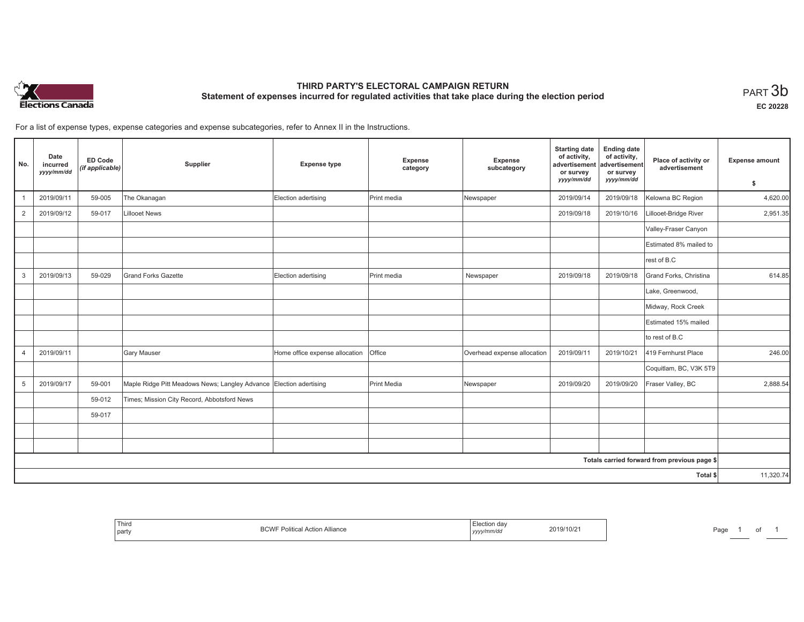

# **THIRD PARTY'S ELECTORAL CAMPAIGN RETURN Statement of expenses incurred for regulated activities that take place during the election period**<br>PART  $3\mathsf{b}$

**EC 20228**

For a list of expense types, expense categories and expense subcategories, refer to Annex II in the Instructions.

| No.            | Date<br>incurred<br>yyyy/mm/dd | <b>ED Code</b><br>(if applicable) | Supplier                                                           | <b>Expense type</b>            | Expense<br>category | Expense<br>subcategory      | <b>Starting date</b><br>of activity,<br>advertisement<br>or survey<br>yyyy/mm/dd | <b>Ending date</b><br>of activity,<br>advertisement<br>or survey<br>yyyy/mm/dd | Place of activity or<br>advertisement        | <b>Expense amount</b><br>\$ |
|----------------|--------------------------------|-----------------------------------|--------------------------------------------------------------------|--------------------------------|---------------------|-----------------------------|----------------------------------------------------------------------------------|--------------------------------------------------------------------------------|----------------------------------------------|-----------------------------|
|                | 2019/09/11                     | 59-005                            | The Okanagan                                                       | Election adertising            | Print media         | Newspaper                   | 2019/09/14                                                                       | 2019/09/18                                                                     | Kelowna BC Region                            | 4,620.00                    |
| $\overline{2}$ | 2019/09/12                     | 59-017                            | <b>Lillooet News</b>                                               |                                |                     |                             | 2019/09/18                                                                       | 2019/10/16                                                                     | Lillooet-Bridge River                        | 2,951.35                    |
|                |                                |                                   |                                                                    |                                |                     |                             |                                                                                  |                                                                                | Valley-Fraser Canyon                         |                             |
|                |                                |                                   |                                                                    |                                |                     |                             |                                                                                  |                                                                                | Estimated 8% mailed to                       |                             |
|                |                                |                                   |                                                                    |                                |                     |                             |                                                                                  |                                                                                | rest of B.C                                  |                             |
| 3              | 2019/09/13                     | 59-029                            | <b>Grand Forks Gazette</b>                                         | Election adertising            | Print media         | Newspaper                   | 2019/09/18                                                                       | 2019/09/18                                                                     | Grand Forks, Christina                       | 614.85                      |
|                |                                |                                   |                                                                    |                                |                     |                             |                                                                                  |                                                                                | Lake, Greenwood,                             |                             |
|                |                                |                                   |                                                                    |                                |                     |                             |                                                                                  |                                                                                | Midway, Rock Creek                           |                             |
|                |                                |                                   |                                                                    |                                |                     |                             |                                                                                  |                                                                                | Estimated 15% mailed                         |                             |
|                |                                |                                   |                                                                    |                                |                     |                             |                                                                                  |                                                                                | to rest of B.C                               |                             |
| $\overline{4}$ | 2019/09/11                     |                                   | <b>Gary Mauser</b>                                                 | Home office expense allocation | Office              | Overhead expense allocation | 2019/09/11                                                                       | 2019/10/21                                                                     | 419 Fernhurst Place                          | 246.00                      |
|                |                                |                                   |                                                                    |                                |                     |                             |                                                                                  |                                                                                | Coquitlam, BC, V3K 5T9                       |                             |
| 5              | 2019/09/17                     | 59-001                            | Maple Ridge Pitt Meadows News; Langley Advance Election adertising |                                | Print Media         | Newspaper                   | 2019/09/20                                                                       | 2019/09/20                                                                     | Fraser Valley, BC                            | 2,888.54                    |
|                |                                | 59-012                            | Times; Mission City Record, Abbotsford News                        |                                |                     |                             |                                                                                  |                                                                                |                                              |                             |
|                |                                | 59-017                            |                                                                    |                                |                     |                             |                                                                                  |                                                                                |                                              |                             |
|                |                                |                                   |                                                                    |                                |                     |                             |                                                                                  |                                                                                |                                              |                             |
|                |                                |                                   |                                                                    |                                |                     |                             |                                                                                  |                                                                                |                                              |                             |
|                |                                |                                   |                                                                    |                                |                     |                             |                                                                                  |                                                                                | Totals carried forward from previous page \$ |                             |
|                |                                |                                   |                                                                    |                                |                     |                             |                                                                                  |                                                                                | Total \$                                     | 11,320.74                   |

| lection day<br>2019/10/21<br>Action Alliance<br>Political.<br>0 ب<br>, yyyy/mm/dd |
|-----------------------------------------------------------------------------------|
|-----------------------------------------------------------------------------------|